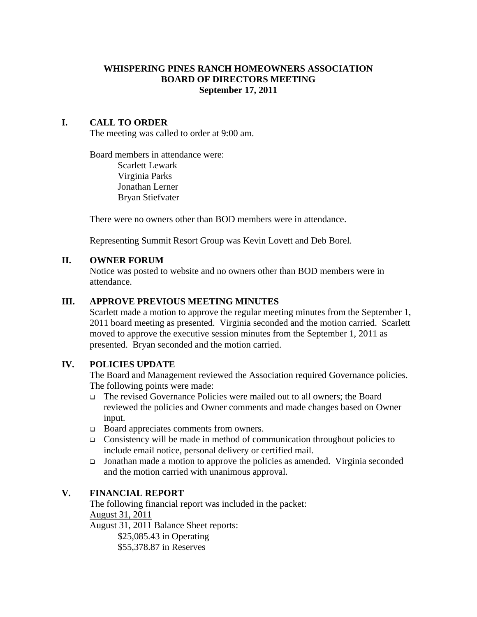## **WHISPERING PINES RANCH HOMEOWNERS ASSOCIATION BOARD OF DIRECTORS MEETING September 17, 2011**

## **I. CALL TO ORDER**

The meeting was called to order at 9:00 am.

Board members in attendance were: Scarlett Lewark Virginia Parks Jonathan Lerner Bryan Stiefvater

There were no owners other than BOD members were in attendance.

Representing Summit Resort Group was Kevin Lovett and Deb Borel.

### **II. OWNER FORUM**

Notice was posted to website and no owners other than BOD members were in attendance.

### **III. APPROVE PREVIOUS MEETING MINUTES**

Scarlett made a motion to approve the regular meeting minutes from the September 1, 2011 board meeting as presented. Virginia seconded and the motion carried. Scarlett moved to approve the executive session minutes from the September 1, 2011 as presented. Bryan seconded and the motion carried.

### **IV. POLICIES UPDATE**

The Board and Management reviewed the Association required Governance policies. The following points were made:

- The revised Governance Policies were mailed out to all owners; the Board reviewed the policies and Owner comments and made changes based on Owner input.
- □ Board appreciates comments from owners.
- Consistency will be made in method of communication throughout policies to include email notice, personal delivery or certified mail.
- Jonathan made a motion to approve the policies as amended. Virginia seconded and the motion carried with unanimous approval.

### **V. FINANCIAL REPORT**

The following financial report was included in the packet: August 31, 2011 August 31, 2011 Balance Sheet reports: \$25,085.43 in Operating

\$55,378.87 in Reserves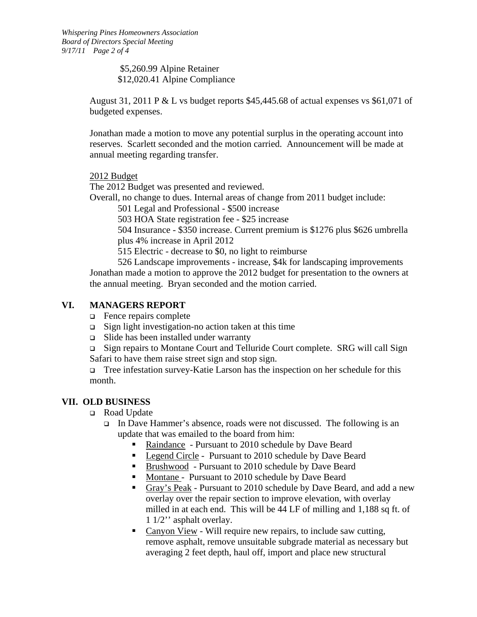\$5,260.99 Alpine Retainer \$12,020.41 Alpine Compliance

August 31, 2011 P & L vs budget reports \$45,445.68 of actual expenses vs \$61,071 of budgeted expenses.

Jonathan made a motion to move any potential surplus in the operating account into reserves. Scarlett seconded and the motion carried. Announcement will be made at annual meeting regarding transfer.

2012 Budget

The 2012 Budget was presented and reviewed.

Overall, no change to dues. Internal areas of change from 2011 budget include:

501 Legal and Professional - \$500 increase

503 HOA State registration fee - \$25 increase

504 Insurance - \$350 increase. Current premium is \$1276 plus \$626 umbrella plus 4% increase in April 2012

515 Electric - decrease to \$0, no light to reimburse

 526 Landscape improvements - increase, \$4k for landscaping improvements Jonathan made a motion to approve the 2012 budget for presentation to the owners at the annual meeting. Bryan seconded and the motion carried.

# **VI. MANAGERS REPORT**

- Fence repairs complete
- $\Box$  Sign light investigation-no action taken at this time
- $\Box$  Slide has been installed under warranty

 Sign repairs to Montane Court and Telluride Court complete. SRG will call Sign Safari to have them raise street sign and stop sign.

Tree infestation survey-Katie Larson has the inspection on her schedule for this month.

# **VII. OLD BUSINESS**

- □ Road Update
	- In Dave Hammer's absence, roads were not discussed. The following is an update that was emailed to the board from him:
		- Raindance Pursuant to 2010 schedule by Dave Beard
		- **Legend Circle Pursuant to 2010 schedule by Dave Beard**
		- **Brushwood** Pursuant to 2010 schedule by Dave Beard
		- Montane Pursuant to 2010 schedule by Dave Beard
		- Gray's Peak Pursuant to 2010 schedule by Dave Beard, and add a new overlay over the repair section to improve elevation, with overlay milled in at each end. This will be 44 LF of milling and 1,188 sq ft. of 1 1/2'' asphalt overlay.
		- Canyon View Will require new repairs, to include saw cutting, remove asphalt, remove unsuitable subgrade material as necessary but averaging 2 feet depth, haul off, import and place new structural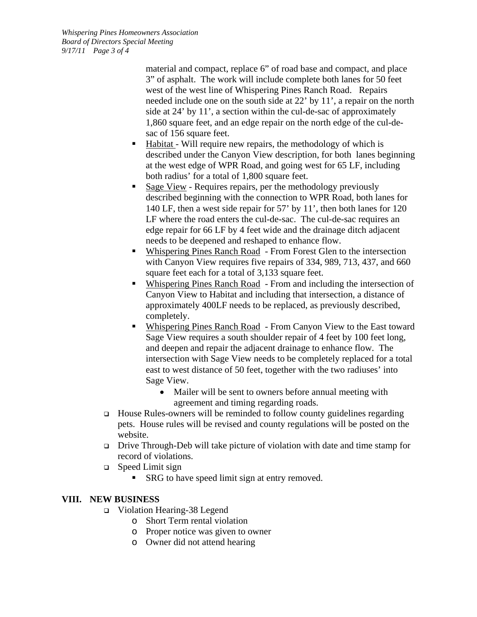*Whispering Pines Homeowners Association Board of Directors Special Meeting 9/17/11 Page 3 of 4* 

> material and compact, replace 6" of road base and compact, and place 3" of asphalt. The work will include complete both lanes for 50 feet west of the west line of Whispering Pines Ranch Road. Repairs needed include one on the south side at 22' by 11', a repair on the north side at 24' by 11', a section within the cul-de-sac of approximately 1,860 square feet, and an edge repair on the north edge of the cul-desac of 156 square feet.

- **Habitat** Will require new repairs, the methodology of which is described under the Canyon View description, for both lanes beginning at the west edge of WPR Road, and going west for 65 LF, including both radius' for a total of 1,800 square feet.
- Sage View Requires repairs, per the methodology previously described beginning with the connection to WPR Road, both lanes for 140 LF, then a west side repair for 57' by 11', then both lanes for 120 LF where the road enters the cul-de-sac. The cul-de-sac requires an edge repair for 66 LF by 4 feet wide and the drainage ditch adjacent needs to be deepened and reshaped to enhance flow.
- Whispering Pines Ranch Road From Forest Glen to the intersection with Canyon View requires five repairs of 334, 989, 713, 437, and 660 square feet each for a total of 3,133 square feet.
- Whispering Pines Ranch Road From and including the intersection of Canyon View to Habitat and including that intersection, a distance of approximately 400LF needs to be replaced, as previously described, completely.
- Whispering Pines Ranch Road From Canyon View to the East toward Sage View requires a south shoulder repair of 4 feet by 100 feet long, and deepen and repair the adjacent drainage to enhance flow. The intersection with Sage View needs to be completely replaced for a total east to west distance of 50 feet, together with the two radiuses' into Sage View.
	- Mailer will be sent to owners before annual meeting with agreement and timing regarding roads.
- $\Box$  House Rules-owners will be reminded to follow county guidelines regarding pets. House rules will be revised and county regulations will be posted on the website.
- Drive Through-Deb will take picture of violation with date and time stamp for record of violations.
- □ Speed Limit sign
	- SRG to have speed limit sign at entry removed.

# **VIII. NEW BUSINESS**

- Violation Hearing-38 Legend
	- o Short Term rental violation
	- o Proper notice was given to owner
	- o Owner did not attend hearing